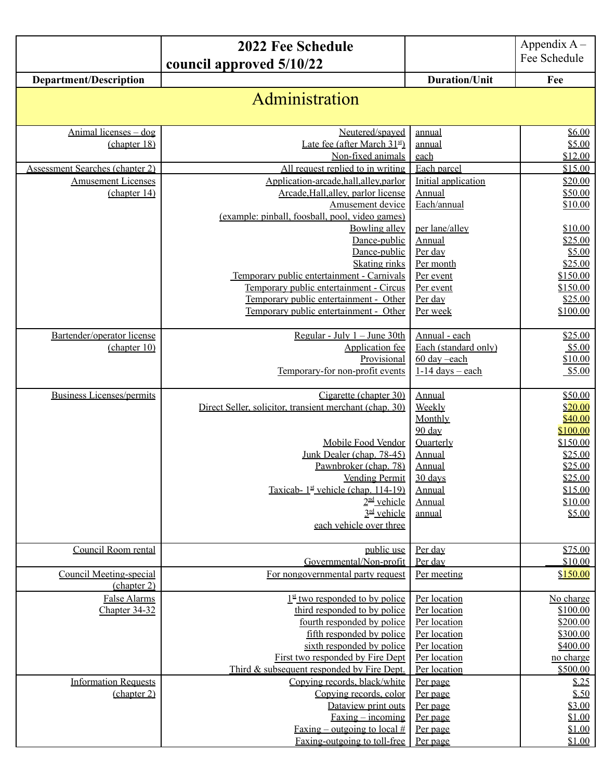|                                        | 2022 Fee Schedule                                             |                              | Appendix $A -$        |
|----------------------------------------|---------------------------------------------------------------|------------------------------|-----------------------|
|                                        | council approved 5/10/22                                      |                              | Fee Schedule          |
| <b>Department/Description</b>          |                                                               | <b>Duration/Unit</b>         | Fee                   |
|                                        | Administration                                                |                              |                       |
|                                        |                                                               |                              |                       |
| Animal licenses - dog                  | Neutered/spayed                                               | annual                       | \$6.00                |
| (chapter 18)                           | Late fee (after March $31st$ )                                | annual                       | \$5.00                |
| <b>Assessment Searches (chapter 2)</b> | Non-fixed animals<br>All request replied to in writing        | each<br>Each parcel          | \$12.00<br>\$15.00    |
| <b>Amusement Licenses</b>              | Application-arcade, hall, alley, parlor                       | Initial application          | \$20.00               |
| (chapter 14)                           | Arcade, Hall, alley, parlor license                           | Annual                       | \$50.00               |
|                                        | Amusement device                                              | Each/annual                  | \$10.00               |
|                                        | (example: pinball, foosball, pool, video games)               |                              |                       |
|                                        | <b>Bowling alley</b>                                          | per lane/alley               | \$10.00               |
|                                        | Dance-public                                                  | Annual                       | \$25.00               |
|                                        | Dance-public<br><b>Skating rinks</b>                          | Per day<br>Per month         | \$5.00<br>\$25.00     |
|                                        | Temporary public entertainment - Carnivals                    | Per event                    | \$150.00              |
|                                        | Temporary public entertainment - Circus                       | Per event                    | \$150.00              |
|                                        | Temporary public entertainment - Other                        | Per day                      | \$25.00               |
|                                        | Temporary public entertainment - Other                        | Per week                     | \$100.00              |
| Bartender/operator license             |                                                               | Annual - each                | \$25.00               |
| (charet 10)                            | Regular - July $1 -$ June 30th<br>Application fee             | Each (standard only)         | \$5.00                |
|                                        | Provisional                                                   | 60 day -each                 | \$10.00               |
|                                        | Temporary-for non-profit events                               | $1-14$ days – each           | \$5.00                |
|                                        |                                                               |                              |                       |
| <b>Business Licenses/permits</b>       | Cigarette (chapter 30)                                        | Annual                       | \$50.00               |
|                                        | Direct Seller, solicitor, transient merchant (chap. 30)       | Weekly<br>Monthly            | \$20.00<br>\$40.00    |
|                                        |                                                               | 90 day                       | \$100.00              |
|                                        | Mobile Food Vendor                                            | <b>Quarterly</b>             | \$150.00              |
|                                        | Junk Dealer (chap. 78-45)                                     | Annual                       | \$25.00               |
|                                        | Pawnbroker (chap. 78)                                         | Annual                       | \$25.00               |
|                                        | <b>Vending Permit</b>                                         | 30 days                      | \$25.00               |
|                                        | Taxicab- $1st$ vehicle (chap. 114-19)<br>$2nd$ vehicle        | Annual<br>Annual             | \$15.00<br>\$10.00    |
|                                        | $3rd$ vehicle                                                 | annual                       | \$5.00                |
|                                        | each vehicle over three                                       |                              |                       |
|                                        |                                                               |                              |                       |
| Council Room rental                    | public use                                                    | Per day                      | \$75.00               |
| <b>Council Meeting-special</b>         | Governmental/Non-profit<br>For nongovernmental party request  | Per day<br>Per meeting       | \$10.00<br>\$150.00   |
| (chapter 2)                            |                                                               |                              |                       |
| False Alarms                           | $1st$ two responded to by police                              | Per location                 | No charge             |
| Chapter 34-32                          | third responded to by police                                  | Per location                 | \$100.00              |
|                                        | fourth responded by police                                    | Per location                 | \$200.00              |
|                                        | fifth responded by police                                     | Per location                 | \$300.00              |
|                                        | sixth responded by police<br>First two responded by Fire Dept | Per location<br>Per location | \$400.00<br>no charge |
|                                        | Third & subsequent responded by Fire Dept.                    | Per location                 | \$500.00              |
| <b>Information Requests</b>            | Copying records, black/white                                  | Per page                     | \$.25                 |
| (chapter 2)                            | Copying records, color                                        | Per page                     | \$.50                 |
|                                        | Dataview print outs                                           | Per page                     | \$3.00                |
|                                        | $Faxing - incoming$                                           | Per page                     | \$1.00                |
|                                        | <u>Faxing – outgoing to local #</u>                           | Per page                     | \$1.00                |
|                                        | Faxing-outgoing to toll-free                                  | Per page                     | \$1.00                |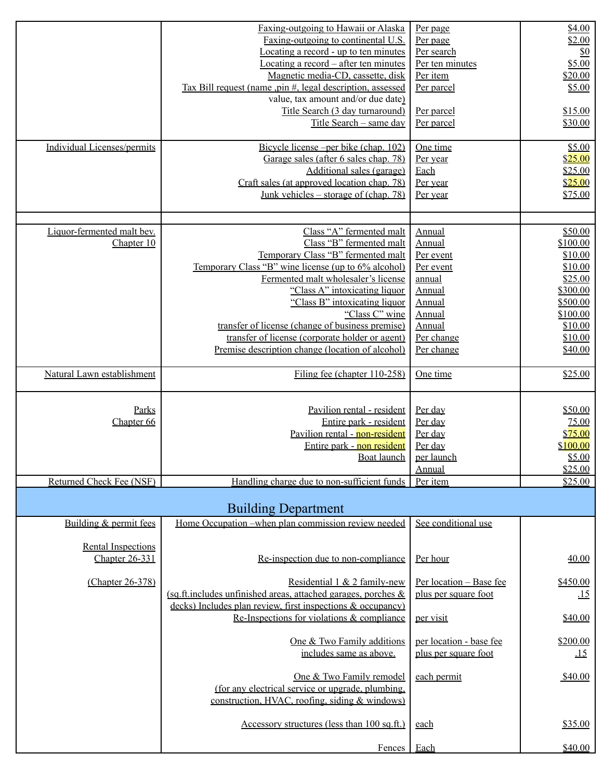| Individual Licenses/permits                         | Faxing-outgoing to Hawaii or Alaska<br>Faxing-outgoing to continental U.S.<br>Locating a record - up to ten minutes<br>Locating a record – after ten minutes<br>Magnetic media-CD, cassette, disk<br>Tax Bill request (name ,pin #, legal description, assessed<br>value, tax amount and/or due date)<br>Title Search (3 day turnaround)<br>Title Search - same day<br>Bicycle license – per bike (chap. 102)<br>Garage sales (after 6 sales chap. 78)<br>Additional sales (garage)<br>Craft sales (at approved location chap. 78)<br><u>Junk vehicles – storage of (chap. 78)</u> | Per page<br>Per page<br>Per search<br>Per ten minutes<br>Per item<br>Per parcel<br>Per parcel<br>Per parcel<br>One time<br>Per year<br>Each<br>Per year<br>Per year | \$4.00<br>\$2.00<br>$\underline{\$0}$<br>\$5.00<br>\$20.00<br>\$5.00<br>\$15.00<br>\$30.00<br>\$5.00<br>\$25.00<br>\$25.00<br>\$25.00<br>\$75.00 |
|-----------------------------------------------------|------------------------------------------------------------------------------------------------------------------------------------------------------------------------------------------------------------------------------------------------------------------------------------------------------------------------------------------------------------------------------------------------------------------------------------------------------------------------------------------------------------------------------------------------------------------------------------|---------------------------------------------------------------------------------------------------------------------------------------------------------------------|--------------------------------------------------------------------------------------------------------------------------------------------------|
| Liquor-fermented malt bev.<br>Chapter 10            | Class "A" fermented malt<br>Class "B" fermented malt<br>Temporary Class "B" fermented malt<br>Temporary Class "B" wine license (up to 6% alcohol)<br>Fermented malt wholesaler's license<br>"Class A" intoxicating liquor<br>"Class B" intoxicating liquor<br>"Class C" wine<br>transfer of license (change of business premise)<br>transfer of license (corporate holder or agent)<br>Premise description change (location of alcohol)                                                                                                                                            | Annual<br>Annual<br>Per event<br>Per event<br>annual<br>Annual<br>Annual<br>Annual<br>Annual<br>Per change<br>Per change                                            | \$50.00<br>\$100.00<br>\$10.00<br>\$10.00<br>\$25.00<br>\$300.00<br>\$500.00<br>\$100.00<br>\$10.00<br>\$10.00<br>\$40.00                        |
| Natural Lawn establishment                          | Filing fee (chapter 110-258)                                                                                                                                                                                                                                                                                                                                                                                                                                                                                                                                                       | One time                                                                                                                                                            | \$25.00                                                                                                                                          |
| Parks<br>Chapter 66<br>Returned Check Fee (NSF)     | Pavilion rental - resident<br>Entire park - resident<br>Pavilion rental - non-resident<br>Entire park - non resident<br>Boat launch<br>Handling charge due to non-sufficient funds                                                                                                                                                                                                                                                                                                                                                                                                 | Per day<br>Per day<br>Per day<br>Per day<br>per launch<br>Annual<br>Per item                                                                                        | \$50.00<br>75.00<br>\$75.00<br>\$100.00<br>\$5.00<br>\$25.00<br>\$25.00                                                                          |
|                                                     |                                                                                                                                                                                                                                                                                                                                                                                                                                                                                                                                                                                    |                                                                                                                                                                     |                                                                                                                                                  |
| Building & permit fees<br><b>Rental Inspections</b> | <b>Building Department</b><br>Home Occupation –when plan commission review needed                                                                                                                                                                                                                                                                                                                                                                                                                                                                                                  | See conditional use                                                                                                                                                 |                                                                                                                                                  |
| <b>Chapter 26-331</b><br>(Chapter 26-378)           | Re-inspection due to non-compliance<br>Residential 1 & 2 family-new<br>(sq.ft.includes unfinished areas, attached garages, porches $\&$<br>decks) Includes plan review, first inspections & occupancy)<br>Re-Inspections for violations & compliance<br>One & Two Family additions<br>includes same as above.<br>One & Two Family remodel<br>(for any electrical service or upgrade, plumbing,<br>construction, HVAC, roofing, siding & windows)                                                                                                                                   | Per hour<br>Per location - Base fee<br>plus per square foot<br>per visit<br>per location - base fee<br>plus per square foot<br>each permit                          | 40.00<br>\$450.00<br>$\overline{15}$<br>\$40.00<br>\$200.00<br><u>.15</u><br>\$40.00                                                             |
|                                                     | Accessory structures (less than 100 sq.ft.)<br>Fences                                                                                                                                                                                                                                                                                                                                                                                                                                                                                                                              | each<br>Each                                                                                                                                                        | \$35.00<br>\$40.00                                                                                                                               |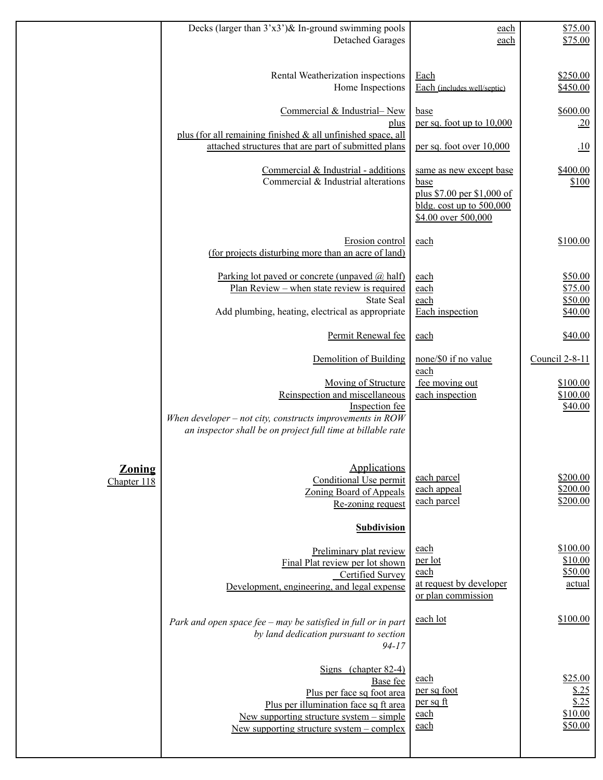|                              | Decks (larger than $3'x3'$ ) & In-ground swimming pools<br><b>Detached Garages</b>                                                                                                                      | each<br>each                                                                                                       | \$75.00<br>\$75.00                              |
|------------------------------|---------------------------------------------------------------------------------------------------------------------------------------------------------------------------------------------------------|--------------------------------------------------------------------------------------------------------------------|-------------------------------------------------|
|                              |                                                                                                                                                                                                         |                                                                                                                    |                                                 |
|                              | Rental Weatherization inspections<br>Home Inspections                                                                                                                                                   | Each<br>Each (includes well/septic)                                                                                | \$250.00<br>\$450.00                            |
|                              | Commercial & Industrial-New<br>plus                                                                                                                                                                     | base<br>per sq. foot up to 10,000                                                                                  | \$600.00<br>.20                                 |
|                              | plus (for all remaining finished $\&$ all unfinished space, all<br>attached structures that are part of submitted plans                                                                                 | per sq. foot over 10,000                                                                                           | $\overline{10}$                                 |
|                              | Commercial & Industrial - additions<br>Commercial & Industrial alterations                                                                                                                              | same as new except base<br>base<br>plus \$7.00 per \$1,000 of<br>bldg. cost up to $500,000$<br>\$4.00 over 500,000 | \$400.00<br>\$100                               |
|                              | Erosion control<br>(for projects disturbing more than an acre of land)                                                                                                                                  | each                                                                                                               | \$100.00                                        |
|                              | Parking lot paved or concrete (unpaved $(a)$ half)<br><u> Plan Review – when state review is required</u><br><b>State Seal</b><br>Add plumbing, heating, electrical as appropriate                      | each<br>each<br>each<br>Each inspection                                                                            | \$50.00<br>\$75.00<br>\$50.00<br>\$40.00        |
|                              | Permit Renewal fee                                                                                                                                                                                      | each                                                                                                               | \$40.00                                         |
|                              | Demolition of Building                                                                                                                                                                                  | none/\$0 if no value<br>each                                                                                       | Council 2-8-11                                  |
|                              | Moving of Structure<br>Reinspection and miscellaneous<br>Inspection fee<br>When developer $-$ not city, constructs improvements in $ROW$<br>an inspector shall be on project full time at billable rate | fee moving out<br>each inspection                                                                                  | \$100.00<br>\$100.00<br>\$40.00                 |
| <b>Zoning</b><br>Chapter 118 | Applications<br>Conditional Use permit<br>Zoning Board of Appeals<br>Re-zoning request<br><b>Subdivision</b>                                                                                            | each parcel<br>each appeal<br>each parcel                                                                          | \$200.00<br>\$200.00<br>\$200.00                |
|                              | Preliminary plat review                                                                                                                                                                                 | each                                                                                                               | \$100.00                                        |
|                              | Final Plat review per lot shown<br><b>Certified Survey</b><br>Development, engineering, and legal expense                                                                                               | <u>per lot</u><br>each<br>at request by developer<br>or plan commission                                            | \$10.00<br>\$50.00<br>actual                    |
|                              | Park and open space fee – may be satisfied in full or in part<br>by land dedication pursuant to section<br>$94 - 17$                                                                                    | each lot                                                                                                           | \$100.00                                        |
|                              | Signs (chapter 82-4)<br>Base fee<br>Plus per face sq foot area<br>Plus per illumination face sq ft area<br>New supporting structure system $-$ simple<br>New supporting structure system $-$ complex    | each<br>per sq foot<br>per sq ft<br>each<br>each                                                                   | \$25.00<br>\$.25<br>\$.25<br>\$10.00<br>\$50.00 |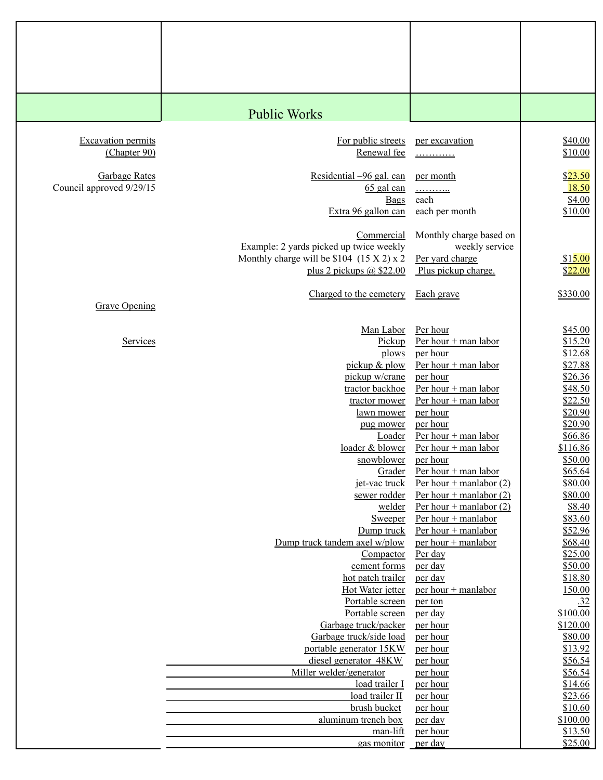|                           | <b>Public Works</b>                                                                    |                                                        |                     |
|---------------------------|----------------------------------------------------------------------------------------|--------------------------------------------------------|---------------------|
| <b>Excavation permits</b> | For public streets                                                                     | per excavation                                         | \$40.00             |
| (Chapter 90)              | Renewal fee                                                                            | .                                                      | \$10.00             |
| <b>Garbage Rates</b>      | Residential -96 gal. can                                                               | per month                                              | \$23.50             |
| Council approved 9/29/15  | $65$ gal can<br><b>Bags</b>                                                            | <u>.</u><br>each                                       | 18.50<br>\$4.00     |
|                           | Extra 96 gallon can                                                                    | each per month                                         | \$10.00             |
|                           | Commercial                                                                             | Monthly charge based on                                |                     |
|                           | Example: 2 yards picked up twice weekly<br>Monthly charge will be \$104 $(15 X 2) x 2$ | weekly service<br>Per yard charge                      | \$15.00             |
|                           | plus 2 pickups $(a)$ \$22.00                                                           | Plus pickup charge.                                    | \$22.00             |
|                           | Charged to the cemetery                                                                | Each grave                                             | \$330.00            |
| <b>Grave Opening</b>      |                                                                                        |                                                        |                     |
|                           | Man Labor                                                                              | Per hour                                               | \$45.00             |
| Services                  | Pickup                                                                                 | Per hour + man labor                                   | \$15.20             |
|                           | plows<br>pickup & plow                                                                 | per hour<br>Per hour + man labor                       | \$12.68<br>\$27.88  |
|                           | pickup w/crane                                                                         | per hour                                               | \$26.36             |
|                           | tractor backhoe                                                                        | Per hour + man labor                                   | \$48.50             |
|                           | tractor mower                                                                          | Per hour $+$ man labor                                 | \$22.50             |
|                           | lawn mower                                                                             | per hour                                               | \$20.90             |
|                           | pug mower<br><b>Loader</b>                                                             | per hour<br>Per hour + man labor                       | \$20.90<br>\$66.86  |
|                           | loader & blower                                                                        | Per hour $+$ man labor                                 | \$116.86            |
|                           | snowblower                                                                             | per hour                                               | \$50.00             |
|                           | Grader                                                                                 | Per hour + man labor                                   | \$65.64             |
|                           | jet-vac truck                                                                          | Per hour + manlabor $(2)$                              | \$80.00             |
|                           | sewer rodder<br>welder                                                                 | Per hour + manlabor $(2)$<br>Per hour + manlabor $(2)$ | \$80.00<br>\$8.40   |
|                           | <b>Sweeper</b>                                                                         | Per hour $+$ manlabor                                  | \$83.60             |
|                           | Dump truck                                                                             | Per hour $+$ manlabor                                  | \$52.96             |
|                           | Dump truck tandem axel w/plow                                                          | per hour + manlabor                                    | \$68.40             |
|                           | Compactor<br>cement forms                                                              | Per day<br>per day                                     | \$25.00<br>\$50.00  |
|                           | hot patch trailer                                                                      | per day                                                | \$18.80             |
|                           | Hot Water jetter                                                                       | per hour + manlabor                                    | 150.00              |
|                           | Portable screen                                                                        | per ton                                                | .32                 |
|                           | Portable screen<br>Garbage truck/packer                                                | per day                                                | \$100.00            |
|                           | Garbage truck/side load                                                                | per hour<br>per hour                                   | \$120.00<br>\$80.00 |
|                           | portable generator 15KW                                                                | per hour                                               | \$13.92             |
|                           | diesel generator 48KW                                                                  | per hour                                               | \$56.54             |
|                           | Miller welder/generator                                                                | per hour                                               | \$56.54             |
|                           | load trailer I<br>load trailer II                                                      | per hour<br>per hour                                   | \$14.66<br>\$23.66  |
|                           | brush bucket                                                                           | per hour                                               | \$10.60             |
|                           | aluminum trench box                                                                    | <u>per day</u>                                         | \$100.00            |
|                           | man-lift                                                                               | per hour                                               | \$13.50             |
|                           | gas monitor                                                                            | per day                                                | \$25.00             |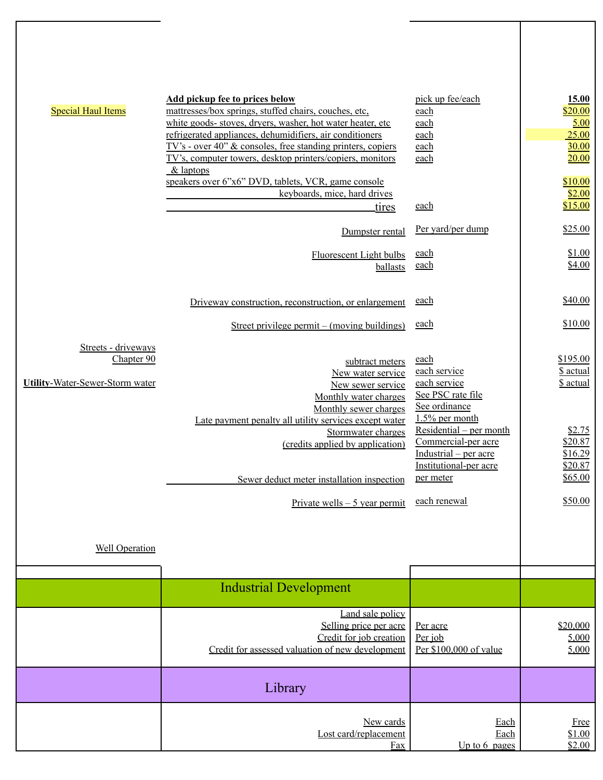| <b>Special Haul Items</b>              | <b>Add pickup fee to prices below</b><br>mattresses/box springs, stuffed chairs, couches, etc,                                 | pick up fee/each<br>each                     | 15.00<br>\$20.00      |
|----------------------------------------|--------------------------------------------------------------------------------------------------------------------------------|----------------------------------------------|-----------------------|
|                                        | white goods- stoves, dryers, washer, hot water heater, etc.                                                                    | each                                         | 5.00                  |
|                                        | refrigerated appliances, dehumidifiers, air conditioners                                                                       | each                                         | 25.00                 |
|                                        | $TV$ 's - over 40" $\&$ consoles, free standing printers, copiers<br>TV's, computer towers, desktop printers/copiers, monitors | each<br>each                                 | 30.00<br>20.00        |
|                                        | & laptops                                                                                                                      |                                              |                       |
|                                        | speakers over 6"x6" DVD, tablets, VCR, game console                                                                            |                                              | \$10.00               |
|                                        | keyboards, mice, hard drives                                                                                                   |                                              | \$2.00                |
|                                        | tires                                                                                                                          | each                                         | \$15.00               |
|                                        | Dumpster rental                                                                                                                | Per yard/per dump                            | \$25.00               |
|                                        | <b>Fluorescent Light bulbs</b>                                                                                                 | each                                         | \$1.00                |
|                                        | ballasts                                                                                                                       | each                                         | \$4.00                |
|                                        |                                                                                                                                |                                              |                       |
|                                        | Driveway construction, reconstruction, or enlargement                                                                          | each                                         | \$40.00               |
|                                        | Street privilege permit – (moving buildings)                                                                                   | each                                         | \$10.00               |
| Streets - driveways                    |                                                                                                                                |                                              |                       |
| Chapter 90                             | subtract meters                                                                                                                | each                                         | \$195.00              |
|                                        | New water service                                                                                                              | each service                                 | \$ actual             |
| <b>Utility-Water-Sewer-Storm water</b> | New sewer service                                                                                                              | each service<br>See PSC rate file            | <u>\$ actual</u>      |
|                                        | Monthly water charges<br>Monthly sewer charges                                                                                 | See ordinance                                |                       |
|                                        | Late payment penalty all utility services except water                                                                         | $1.5\%$ per month                            |                       |
|                                        | Stormwater charges                                                                                                             | Residential – per month                      | \$2.75                |
|                                        | (credits applied by application)                                                                                               | Commercial-per acre<br>Industrial – per acre | \$20.87<br>\$16.29    |
|                                        |                                                                                                                                | Institutional-per acre                       | \$20.87               |
|                                        | Sewer deduct meter installation inspection                                                                                     | per meter                                    | \$65.00               |
|                                        |                                                                                                                                |                                              | \$50.00               |
|                                        | Private wells $-5$ year permit                                                                                                 | each renewal                                 |                       |
|                                        |                                                                                                                                |                                              |                       |
| <b>Well Operation</b>                  |                                                                                                                                |                                              |                       |
|                                        |                                                                                                                                |                                              |                       |
|                                        |                                                                                                                                |                                              |                       |
|                                        | <b>Industrial Development</b>                                                                                                  |                                              |                       |
|                                        | Land sale policy                                                                                                               |                                              |                       |
|                                        | Selling price per acre<br>Credit for job creation                                                                              | Per acre<br>Per job                          | \$20,000<br>5,000     |
|                                        | Credit for assessed valuation of new development                                                                               | Per \$100,000 of value                       | 5,000                 |
|                                        |                                                                                                                                |                                              |                       |
|                                        | Library                                                                                                                        |                                              |                       |
|                                        |                                                                                                                                |                                              |                       |
|                                        | New cards<br>Lost card/replacement                                                                                             | Each<br>Each                                 | <b>Free</b><br>\$1.00 |
|                                        | Fax                                                                                                                            | Up to $6$ pages                              | \$2.00                |